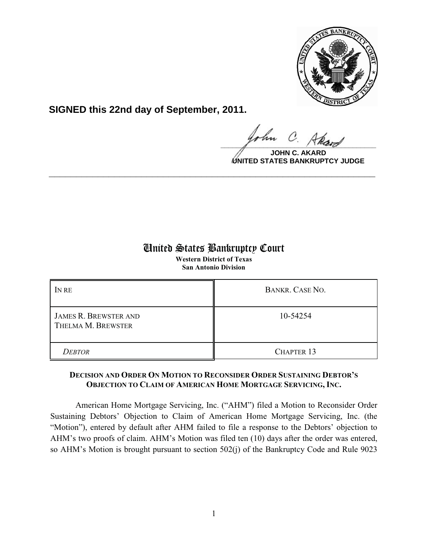

**SIGNED this 22nd day of September, 2011.**

 $\Omega$  $\frac{1}{\sqrt{1-\frac{1}{2}}\sqrt{1-\frac{1}{2}}\sqrt{1-\frac{1}{2}}\sqrt{1-\frac{1}{2}}\sqrt{1-\frac{1}{2}}\sqrt{1-\frac{1}{2}}\sqrt{1-\frac{1}{2}}\sqrt{1-\frac{1}{2}}\sqrt{1-\frac{1}{2}}\sqrt{1-\frac{1}{2}}\sqrt{1-\frac{1}{2}}\sqrt{1-\frac{1}{2}}\sqrt{1-\frac{1}{2}}\sqrt{1-\frac{1}{2}}\sqrt{1-\frac{1}{2}}\sqrt{1-\frac{1}{2}}\sqrt{1-\frac{1}{2}}\sqrt{1-\frac{1}{2}}\sqrt{1-\frac{1}{2}}\sqrt{1-\frac$ 

**JOHN C. AKARD UNITED STATES BANKRUPTCY JUDGE**

## United States Bankruptcy Court

**\_\_\_\_\_\_\_\_\_\_\_\_\_\_\_\_\_\_\_\_\_\_\_\_\_\_\_\_\_\_\_\_\_\_\_\_\_\_\_\_\_\_\_\_\_\_\_\_\_\_\_\_\_\_\_\_\_\_\_\_**

**Western District of Texas San Antonio Division**

| IN RE                                              | BANKR. CASE NO.   |
|----------------------------------------------------|-------------------|
| <b>JAMES R. BREWSTER AND</b><br>THELMA M. BREWSTER | 10-54254          |
| <b>DEBTOR</b>                                      | <b>CHAPTER 13</b> |

## **DECISION AND ORDER ON MOTION TO RECONSIDER ORDER SUSTAINING DEBTOR'S OBJECTION TO CLAIM OF AMERICAN HOME MORTGAGE SERVICING, INC.**

American Home Mortgage Servicing, Inc. ("AHM") filed a Motion to Reconsider Order Sustaining Debtors' Objection to Claim of American Home Mortgage Servicing, Inc. (the "Motion"), entered by default after AHM failed to file a response to the Debtors' objection to AHM's two proofs of claim. AHM's Motion was filed ten (10) days after the order was entered, so AHM's Motion is brought pursuant to section 502(j) of the Bankruptcy Code and Rule 9023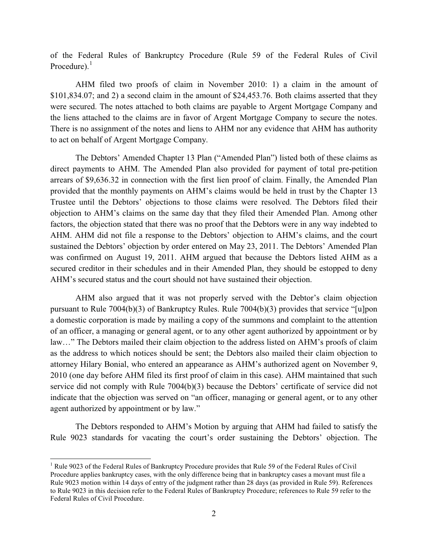of the Federal Rules of Bankruptcy Procedure (Rule 59 of the Federal Rules of Civil Procedure). $<sup>1</sup>$ </sup>

AHM filed two proofs of claim in November 2010: 1) a claim in the amount of \$101,834.07; and 2) a second claim in the amount of \$24,453.76. Both claims asserted that they were secured. The notes attached to both claims are payable to Argent Mortgage Company and the liens attached to the claims are in favor of Argent Mortgage Company to secure the notes. There is no assignment of the notes and liens to AHM nor any evidence that AHM has authority to act on behalf of Argent Mortgage Company.

The Debtors' Amended Chapter 13 Plan ("Amended Plan") listed both of these claims as direct payments to AHM. The Amended Plan also provided for payment of total pre-petition arrears of \$9,636.32 in connection with the first lien proof of claim. Finally, the Amended Plan provided that the monthly payments on AHM's claims would be held in trust by the Chapter 13 Trustee until the Debtors' objections to those claims were resolved. The Debtors filed their objection to AHM's claims on the same day that they filed their Amended Plan. Among other factors, the objection stated that there was no proof that the Debtors were in any way indebted to AHM. AHM did not file a response to the Debtors' objection to AHM's claims, and the court sustained the Debtors' objection by order entered on May 23, 2011. The Debtors' Amended Plan was confirmed on August 19, 2011. AHM argued that because the Debtors listed AHM as a secured creditor in their schedules and in their Amended Plan, they should be estopped to deny AHM's secured status and the court should not have sustained their objection.

AHM also argued that it was not properly served with the Debtor's claim objection pursuant to Rule 7004(b)(3) of Bankruptcy Rules. Rule 7004(b)(3) provides that service "[u]pon a domestic corporation is made by mailing a copy of the summons and complaint to the attention of an officer, a managing or general agent, or to any other agent authorized by appointment or by law…" The Debtors mailed their claim objection to the address listed on AHM's proofs of claim as the address to which notices should be sent; the Debtors also mailed their claim objection to attorney Hilary Bonial, who entered an appearance as AHM's authorized agent on November 9, 2010 (one day before AHM filed its first proof of claim in this case). AHM maintained that such service did not comply with Rule 7004(b)(3) because the Debtors' certificate of service did not indicate that the objection was served on "an officer, managing or general agent, or to any other agent authorized by appointment or by law."

The Debtors responded to AHM's Motion by arguing that AHM had failed to satisfy the Rule 9023 standards for vacating the court's order sustaining the Debtors' objection. The

 $\overline{a}$ 

<sup>&</sup>lt;sup>1</sup> Rule 9023 of the Federal Rules of Bankruptcy Procedure provides that Rule 59 of the Federal Rules of Civil Procedure applies bankruptcy cases, with the only difference being that in bankruptcy cases a movant must file a Rule 9023 motion within 14 days of entry of the judgment rather than 28 days (as provided in Rule 59). References to Rule 9023 in this decision refer to the Federal Rules of Bankruptcy Procedure; references to Rule 59 refer to the Federal Rules of Civil Procedure.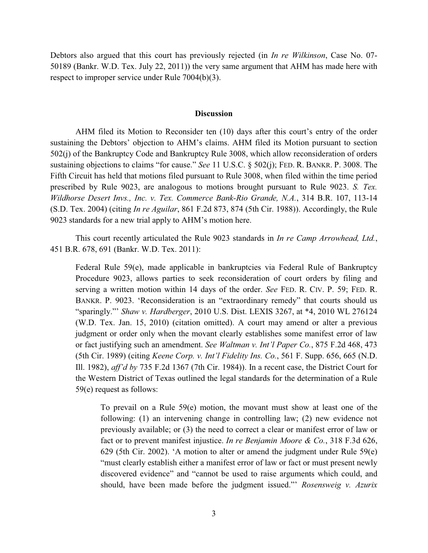Debtors also argued that this court has previously rejected (in *In re Wilkinson*, Case No. 07- 50189 (Bankr. W.D. Tex. July 22, 2011)) the very same argument that AHM has made here with respect to improper service under Rule 7004(b)(3).

## **Discussion**

AHM filed its Motion to Reconsider ten (10) days after this court's entry of the order sustaining the Debtors' objection to AHM's claims. AHM filed its Motion pursuant to section 502(j) of the Bankruptcy Code and Bankruptcy Rule 3008, which allow reconsideration of orders sustaining objections to claims "for cause." *See* 11 U.S.C. § 502(j); FED. R. BANKR. P. 3008. The Fifth Circuit has held that motions filed pursuant to Rule 3008, when filed within the time period prescribed by Rule 9023, are analogous to motions brought pursuant to Rule 9023. *S. Tex. Wildhorse Desert Invs., Inc. v. Tex. Commerce Bank-Rio Grande, N.A.*, 314 B.R. 107, 113-14 (S.D. Tex. 2004) (citing *In re Aguilar*, 861 F.2d 873, 874 (5th Cir. 1988)). Accordingly, the Rule 9023 standards for a new trial apply to AHM's motion here.

This court recently articulated the Rule 9023 standards in *In re Camp Arrowhead, Ltd.*, 451 B.R. 678, 691 (Bankr. W.D. Tex. 2011):

Federal Rule 59(e), made applicable in bankruptcies via Federal Rule of Bankruptcy Procedure 9023, allows parties to seek reconsideration of court orders by filing and serving a written motion within 14 days of the order. *See* FED. R. CIV. P. 59; FED. R. BANKR. P. 9023. 'Reconsideration is an "extraordinary remedy" that courts should us "sparingly."' *Shaw v. Hardberger*, 2010 U.S. Dist. LEXIS 3267, at \*4, 2010 WL 276124 (W.D. Tex. Jan. 15, 2010) (citation omitted). A court may amend or alter a previous judgment or order only when the movant clearly establishes some manifest error of law or fact justifying such an amendment. *See Waltman v. Int'l Paper Co.*, 875 F.2d 468, 473 (5th Cir. 1989) (citing *Keene Corp. v. Int'l Fidelity Ins. Co.*, 561 F. Supp. 656, 665 (N.D. Ill. 1982), *aff'd by* 735 F.2d 1367 (7th Cir. 1984)). In a recent case, the District Court for the Western District of Texas outlined the legal standards for the determination of a Rule 59(e) request as follows:

To prevail on a Rule 59(e) motion, the movant must show at least one of the following: (1) an intervening change in controlling law; (2) new evidence not previously available; or (3) the need to correct a clear or manifest error of law or fact or to prevent manifest injustice. *In re Benjamin Moore & Co.*, 318 F.3d 626, 629 (5th Cir. 2002). 'A motion to alter or amend the judgment under Rule 59(e) "must clearly establish either a manifest error of law or fact or must present newly discovered evidence" and "cannot be used to raise arguments which could, and should, have been made before the judgment issued."' *Rosensweig v. Azurix*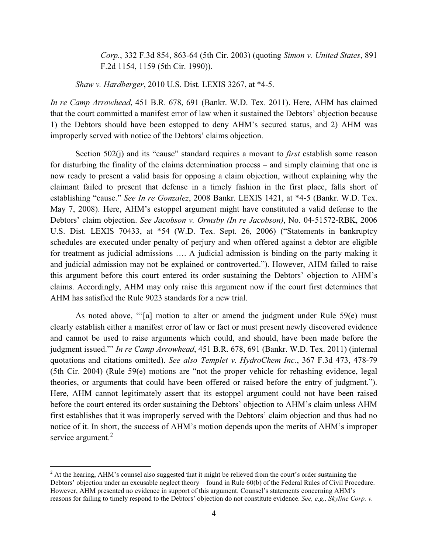*Corp.*, 332 F.3d 854, 863-64 (5th Cir. 2003) (quoting *Simon v. United States*, 891 F.2d 1154, 1159 (5th Cir. 1990)).

*Shaw v. Hardberger*, 2010 U.S. Dist. LEXIS 3267, at \*4-5.

*In re Camp Arrowhead*, 451 B.R. 678, 691 (Bankr. W.D. Tex. 2011). Here, AHM has claimed that the court committed a manifest error of law when it sustained the Debtors' objection because 1) the Debtors should have been estopped to deny AHM's secured status, and 2) AHM was improperly served with notice of the Debtors' claims objection.

Section 502(j) and its "cause" standard requires a movant to *first* establish some reason for disturbing the finality of the claims determination process – and simply claiming that one is now ready to present a valid basis for opposing a claim objection, without explaining why the claimant failed to present that defense in a timely fashion in the first place, falls short of establishing "cause." *See In re Gonzalez*, 2008 Bankr. LEXIS 1421, at \*4-5 (Bankr. W.D. Tex. May 7, 2008). Here, AHM's estoppel argument might have constituted a valid defense to the Debtors' claim objection. *See Jacobson v. Ormsby (In re Jacobson)*, No. 04-51572-RBK, 2006 U.S. Dist. LEXIS 70433, at \*54 (W.D. Tex. Sept. 26, 2006) ("Statements in bankruptcy schedules are executed under penalty of perjury and when offered against a debtor are eligible for treatment as judicial admissions …. A judicial admission is binding on the party making it and judicial admission may not be explained or controverted."). However, AHM failed to raise this argument before this court entered its order sustaining the Debtors' objection to AHM's claims. Accordingly, AHM may only raise this argument now if the court first determines that AHM has satisfied the Rule 9023 standards for a new trial.

As noted above, "'[a] motion to alter or amend the judgment under Rule 59(e) must clearly establish either a manifest error of law or fact or must present newly discovered evidence and cannot be used to raise arguments which could, and should, have been made before the judgment issued."' *In re Camp Arrowhead*, 451 B.R. 678, 691 (Bankr. W.D. Tex. 2011) (internal quotations and citations omitted). *See also Templet v. HydroChem Inc.*, 367 F.3d 473, 478-79 (5th Cir. 2004) (Rule 59(e) motions are "not the proper vehicle for rehashing evidence, legal theories, or arguments that could have been offered or raised before the entry of judgment."). Here, AHM cannot legitimately assert that its estoppel argument could not have been raised before the court entered its order sustaining the Debtors' objection to AHM's claim unless AHM first establishes that it was improperly served with the Debtors' claim objection and thus had no notice of it. In short, the success of AHM's motion depends upon the merits of AHM's improper service argument.<sup>2</sup>

 $\overline{a}$ 

<sup>&</sup>lt;sup>2</sup> At the hearing, AHM's counsel also suggested that it might be relieved from the court's order sustaining the Debtors' objection under an excusable neglect theory—found in Rule 60(b) of the Federal Rules of Civil Procedure. However, AHM presented no evidence in support of this argument. Counsel's statements concerning AHM's reasons for failing to timely respond to the Debtors' objection do not constitute evidence. *See, e.g., Skyline Corp. v.*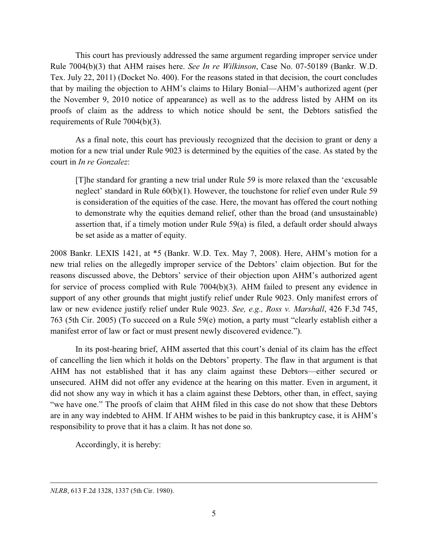This court has previously addressed the same argument regarding improper service under Rule 7004(b)(3) that AHM raises here. *See In re Wilkinson*, Case No. 07-50189 (Bankr. W.D. Tex. July 22, 2011) (Docket No. 400). For the reasons stated in that decision, the court concludes that by mailing the objection to AHM's claims to Hilary Bonial—AHM's authorized agent (per the November 9, 2010 notice of appearance) as well as to the address listed by AHM on its proofs of claim as the address to which notice should be sent, the Debtors satisfied the requirements of Rule 7004(b)(3).

As a final note, this court has previously recognized that the decision to grant or deny a motion for a new trial under Rule 9023 is determined by the equities of the case. As stated by the court in *In re Gonzalez*:

[T]he standard for granting a new trial under Rule 59 is more relaxed than the 'excusable neglect' standard in Rule 60(b)(1). However, the touchstone for relief even under Rule 59 is consideration of the equities of the case. Here, the movant has offered the court nothing to demonstrate why the equities demand relief, other than the broad (and unsustainable) assertion that, if a timely motion under Rule 59(a) is filed, a default order should always be set aside as a matter of equity.

2008 Bankr. LEXIS 1421, at \*5 (Bankr. W.D. Tex. May 7, 2008). Here, AHM's motion for a new trial relies on the allegedly improper service of the Debtors' claim objection. But for the reasons discussed above, the Debtors' service of their objection upon AHM's authorized agent for service of process complied with Rule 7004(b)(3). AHM failed to present any evidence in support of any other grounds that might justify relief under Rule 9023. Only manifest errors of law or new evidence justify relief under Rule 9023. *See, e.g., Ross v. Marshall*, 426 F.3d 745, 763 (5th Cir. 2005) (To succeed on a Rule 59(e) motion, a party must "clearly establish either a manifest error of law or fact or must present newly discovered evidence.").

In its post-hearing brief, AHM asserted that this court's denial of its claim has the effect of cancelling the lien which it holds on the Debtors' property. The flaw in that argument is that AHM has not established that it has any claim against these Debtors—either secured or unsecured. AHM did not offer any evidence at the hearing on this matter. Even in argument, it did not show any way in which it has a claim against these Debtors, other than, in effect, saying "we have one." The proofs of claim that AHM filed in this case do not show that these Debtors are in any way indebted to AHM. If AHM wishes to be paid in this bankruptcy case, it is AHM's responsibility to prove that it has a claim. It has not done so.

Accordingly, it is hereby:

 $\overline{a}$ 

*NLRB*, 613 F.2d 1328, 1337 (5th Cir. 1980).